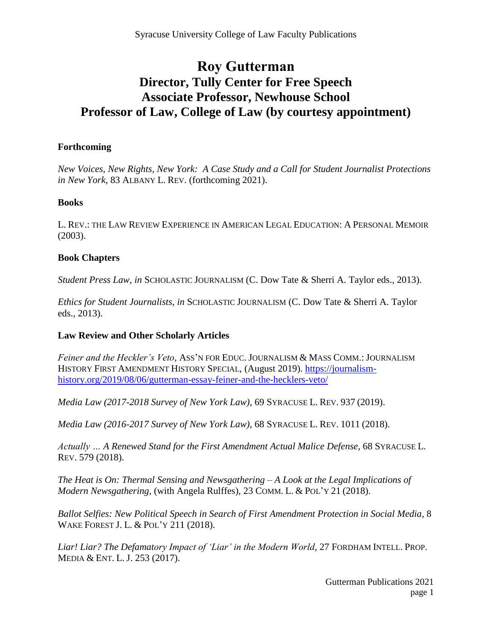# **Roy Gutterman Director, Tully Center for Free Speech Associate Professor, Newhouse School Professor of Law, College of Law (by courtesy appointment)**

#### **Forthcoming**

*New Voices, New Rights, New York: A Case Study and a Call for Student Journalist Protections in New York*, 83 ALBANY L. REV. (forthcoming 2021).

### **Books**

L. REV.: THE LAW REVIEW EXPERIENCE IN AMERICAN LEGAL EDUCATION: A PERSONAL MEMOIR (2003).

### **Book Chapters**

*Student Press Law, in* SCHOLASTIC JOURNALISM (C. Dow Tate & Sherri A. Taylor eds., 2013).

*Ethics for Student Journalists, in* SCHOLASTIC JOURNALISM (C. Dow Tate & Sherri A. Taylor eds., 2013).

## **Law Review and Other Scholarly Articles**

*Feiner and the Heckler's Veto*, ASS'N FOR EDUC. JOURNALISM & MASS COMM.: JOURNALISM HISTORY FIRST AMENDMENT HISTORY SPECIAL, (August 2019). [https://journalism](https://journalism-history.org/2019/08/06/gutterman-essay-feiner-and-the-hecklers-veto/)[history.org/2019/08/06/gutterman-essay-feiner-and-the-hecklers-veto/](https://journalism-history.org/2019/08/06/gutterman-essay-feiner-and-the-hecklers-veto/)

*Media Law (2017-2018 Survey of New York Law)*, 69 SYRACUSE L. REV. 937 (2019).

*Media Law (2016-2017 Survey of New York Law)*, 68 SYRACUSE L. REV. 1011 (2018).

*Actually … A Renewed Stand for the First Amendment Actual Malice Defense*, 68 SYRACUSE L. REV. 579 (2018).

*The Heat is On: Thermal Sensing and Newsgathering – A Look at the Legal Implications of Modern Newsgathering*, (with Angela Rulffes), 23 COMM. L. & POL'Y 21 (2018).

*Ballot Selfies: New Political Speech in Search of First Amendment Protection in Social Media*, 8 WAKE FOREST J. L. & POL'Y 211 (2018).

*Liar! Liar? The Defamatory Impact of 'Liar' in the Modern World*, 27 FORDHAM INTELL. PROP. MEDIA & ENT. L. J. 253 (2017).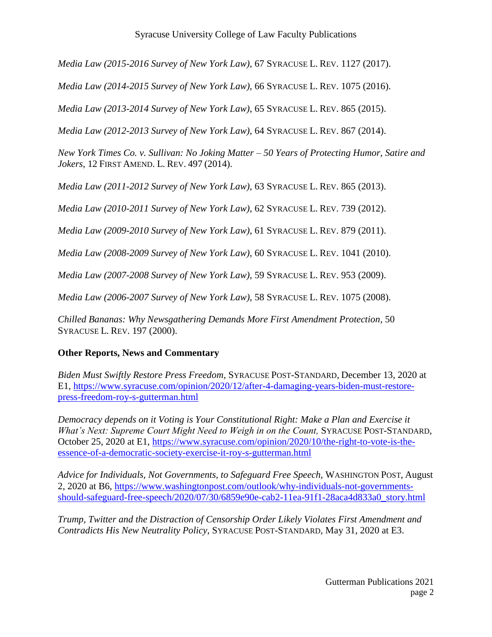#### Syracuse University College of Law Faculty Publications

*Media Law (2015-2016 Survey of New York Law)*, 67 SYRACUSE L. REV. 1127 (2017).

*Media Law (2014-2015 Survey of New York Law)*, 66 SYRACUSE L. REV. 1075 (2016).

*Media Law (2013-2014 Survey of New York Law)*, 65 SYRACUSE L. REV. 865 (2015).

*Media Law (2012-2013 Survey of New York Law)*, 64 SYRACUSE L. REV. 867 (2014).

*New York Times Co. v. Sullivan: No Joking Matter – 50 Years of Protecting Humor, Satire and Jokers,* 12 FIRST AMEND. L. REV. 497 (2014).

*Media Law (2011-2012 Survey of New York Law)*, 63 SYRACUSE L. REV. 865 (2013).

*Media Law (2010-2011 Survey of New York Law)*, 62 SYRACUSE L. REV. 739 (2012).

*Media Law (2009-2010 Survey of New York Law)*, 61 SYRACUSE L. REV. 879 (2011).

*Media Law (2008-2009 Survey of New York Law)*, 60 SYRACUSE L. REV. 1041 (2010).

*Media Law (2007-2008 Survey of New York Law)*, 59 SYRACUSE L. REV. 953 (2009).

*Media Law (2006-2007 Survey of New York Law)*, 58 SYRACUSE L. REV. 1075 (2008).

*Chilled Bananas: Why Newsgathering Demands More First Amendment Protection*, 50 SYRACUSE L. REV. 197 (2000).

## **Other Reports, News and Commentary**

*Biden Must Swiftly Restore Press Freedom,* SYRACUSE POST-STANDARD, December 13, 2020 at E1, [https://www.syracuse.com/opinion/2020/12/after-4-damaging-years-biden-must-restore](https://www.syracuse.com/opinion/2020/12/after-4-damaging-years-biden-must-restore-press-freedom-roy-s-gutterman.html)[press-freedom-roy-s-gutterman.html](https://www.syracuse.com/opinion/2020/12/after-4-damaging-years-biden-must-restore-press-freedom-roy-s-gutterman.html)

*Democracy depends on it Voting is Your Constitutional Right: Make a Plan and Exercise it What's Next: Supreme Court Might Need to Weigh in on the Count, SYRACUSE POST-STANDARD,* October 25, 2020 at E1, [https://www.syracuse.com/opinion/2020/10/the-right-to-vote-is-the](https://www.syracuse.com/opinion/2020/10/the-right-to-vote-is-the-essence-of-a-democratic-society-exercise-it-roy-s-gutterman.html)[essence-of-a-democratic-society-exercise-it-roy-s-gutterman.html](https://www.syracuse.com/opinion/2020/10/the-right-to-vote-is-the-essence-of-a-democratic-society-exercise-it-roy-s-gutterman.html)

*Advice for Individuals, Not Governments, to Safeguard Free Speech,* WASHINGTON POST, August 2, 2020 at B6, [https://www.washingtonpost.com/outlook/why-individuals-not-governments](https://www.washingtonpost.com/outlook/why-individuals-not-governments-should-safeguard-free-speech/2020/07/30/6859e90e-cab2-11ea-91f1-28aca4d833a0_story.html)[should-safeguard-free-speech/2020/07/30/6859e90e-cab2-11ea-91f1-28aca4d833a0\\_story.html](https://www.washingtonpost.com/outlook/why-individuals-not-governments-should-safeguard-free-speech/2020/07/30/6859e90e-cab2-11ea-91f1-28aca4d833a0_story.html)

*Trump, Twitter and the Distraction of Censorship Order Likely Violates First Amendment and Contradicts His New Neutrality Policy,* SYRACUSE POST-STANDARD, May 31, 2020 at E3.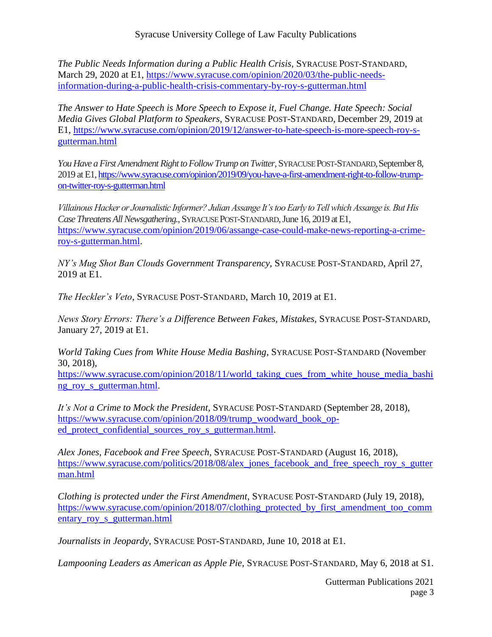Syracuse University College of Law Faculty Publications

*The Public Needs Information during a Public Health Crisis,* SYRACUSE POST-STANDARD, March 29, 2020 at E1, [https://www.syracuse.com/opinion/2020/03/the-public-needs](https://www.syracuse.com/opinion/2020/03/the-public-needs-information-during-a-public-health-crisis-commentary-by-roy-s-gutterman.html)[information-during-a-public-health-crisis-commentary-by-roy-s-gutterman.html](https://www.syracuse.com/opinion/2020/03/the-public-needs-information-during-a-public-health-crisis-commentary-by-roy-s-gutterman.html)

*The Answer to Hate Speech is More Speech to Expose it, Fuel Change. Hate Speech: Social Media Gives Global Platform to Speakers,* SYRACUSE POST-STANDARD, December 29, 2019 at E1, [https://www.syracuse.com/opinion/2019/12/answer-to-hate-speech-is-more-speech-roy-s](https://www.syracuse.com/opinion/2019/12/answer-to-hate-speech-is-more-speech-roy-s-gutterman.html)[gutterman.html](https://www.syracuse.com/opinion/2019/12/answer-to-hate-speech-is-more-speech-roy-s-gutterman.html)

You Have a First Amendment Right to Follow Trump on Twitter, SYRACUSE POST-STANDARD, September 8, 2019 at E1[, https://www.syracuse.com/opinion/2019/09/you-have-a-first-amendment-right-to-follow-trump](https://www.syracuse.com/opinion/2019/09/you-have-a-first-amendment-right-to-follow-trump-on-twitter-roy-s-gutterman.html)[on-twitter-roy-s-gutterman.html](https://www.syracuse.com/opinion/2019/09/you-have-a-first-amendment-right-to-follow-trump-on-twitter-roy-s-gutterman.html)

*Villainous Hacker or Journalistic Informer? Julian Assange It's too Early to Tell which Assange is. But His Case Threatens All Newsgathering.*, SYRACUSE POST-STANDARD, June 16, 2019 at E1, [https://www.syracuse.com/opinion/2019/06/assange-case-could-make-news-reporting-a-crime](https://www.syracuse.com/opinion/2019/06/assange-case-could-make-news-reporting-a-crime-roy-s-gutterman.html)[roy-s-gutterman.html.](https://www.syracuse.com/opinion/2019/06/assange-case-could-make-news-reporting-a-crime-roy-s-gutterman.html)

*NY's Mug Shot Ban Clouds Government Transparency,* SYRACUSE POST-STANDARD, April 27, 2019 at E1.

*The Heckler's Veto*, SYRACUSE POST-STANDARD, March 10, 2019 at E1.

*News Story Errors: There's a Difference Between Fakes, Mistakes,* SYRACUSE POST-STANDARD, January 27, 2019 at E1.

*World Taking Cues from White House Media Bashing*, SYRACUSE POST-STANDARD (November 30, 2018),

[https://www.syracuse.com/opinion/2018/11/world\\_taking\\_cues\\_from\\_white\\_house\\_media\\_bashi](https://www.syracuse.com/opinion/2018/11/world_taking_cues_from_white_house_media_bashing_roy_s_gutterman.html) ng roy s gutterman.html.

*It's Not a Crime to Mock the President*, SYRACUSE POST-STANDARD (September 28, 2018), [https://www.syracuse.com/opinion/2018/09/trump\\_woodward\\_book\\_op](https://www.syracuse.com/opinion/2018/09/trump_woodward_book_op-ed_protect_confidential_sources_roy_s_gutterman.html)[ed\\_protect\\_confidential\\_sources\\_roy\\_s\\_gutterman.html.](https://www.syracuse.com/opinion/2018/09/trump_woodward_book_op-ed_protect_confidential_sources_roy_s_gutterman.html)

*Alex Jones, Facebook and Free Speech*, SYRACUSE POST-STANDARD (August 16, 2018), [https://www.syracuse.com/politics/2018/08/alex\\_jones\\_facebook\\_and\\_free\\_speech\\_roy\\_s\\_gutter](https://www.syracuse.com/politics/2018/08/alex_jones_facebook_and_free_speech_roy_s_gutterman.html) [man.html](https://www.syracuse.com/politics/2018/08/alex_jones_facebook_and_free_speech_roy_s_gutterman.html)

*Clothing is protected under the First Amendment*, SYRACUSE POST-STANDARD (July 19, 2018), [https://www.syracuse.com/opinion/2018/07/clothing\\_protected\\_by\\_first\\_amendment\\_too\\_comm](https://www.syracuse.com/opinion/2018/07/clothing_protected_by_first_amendment_too_commentary_roy_s_gutterman.html) [entary\\_roy\\_s\\_gutterman.html](https://www.syracuse.com/opinion/2018/07/clothing_protected_by_first_amendment_too_commentary_roy_s_gutterman.html)

*Journalists in Jeopardy*, SYRACUSE POST-STANDARD, June 10, 2018 at E1.

*Lampooning Leaders as American as Apple Pie*, SYRACUSE POST-STANDARD, May 6, 2018 at S1.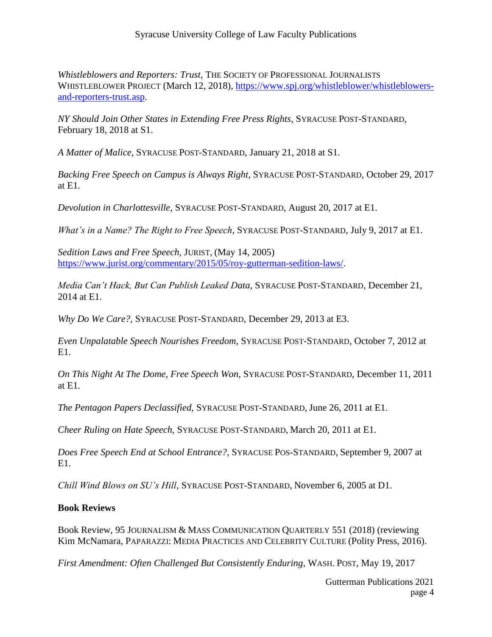*Whistleblowers and Reporters: Trust*, THE SOCIETY OF PROFESSIONAL JOURNALISTS WHISTLEBLOWER PROJECT (March 12, 2018), [https://www.spj.org/whistleblower/whistleblowers](https://www.spj.org/whistleblower/whistleblowers-and-reporters-trust.asp)[and-reporters-trust.asp.](https://www.spj.org/whistleblower/whistleblowers-and-reporters-trust.asp)

*NY Should Join Other States in Extending Free Press Rights*, SYRACUSE POST-STANDARD, February 18, 2018 at S1.

*A Matter of Malice*, SYRACUSE POST-STANDARD, January 21, 2018 at S1.

*Backing Free Speech on Campus is Always Right*, SYRACUSE POST-STANDARD, October 29, 2017 at E1.

*Devolution in Charlottesville*, SYRACUSE POST-STANDARD, August 20, 2017 at E1.

*What's in a Name? The Right to Free Speech*, SYRACUSE POST-STANDARD, July 9, 2017 at E1.

*Sedition Laws and Free Speech,* JURIST, (May 14, 2005) [https://www.jurist.org/commentary/2015/05/roy-gutterman-sedition-laws/.](https://www.jurist.org/commentary/2015/05/roy-gutterman-sedition-laws/)

*Media Can't Hack, But Can Publish Leaked Data*, SYRACUSE POST-STANDARD, December 21, 2014 at E1.

*Why Do We Care?*, SYRACUSE POST-STANDARD, December 29, 2013 at E3.

*Even Unpalatable Speech Nourishes Freedom*, SYRACUSE POST-STANDARD, October 7, 2012 at E1.

*On This Night At The Dome, Free Speech Won*, SYRACUSE POST-STANDARD, December 11, 2011 at E1.

*The Pentagon Papers Declassified*, SYRACUSE POST-STANDARD, June 26, 2011 at E1.

*Cheer Ruling on Hate Speech*, SYRACUSE POST-STANDARD, March 20, 2011 at E1.

*Does Free Speech End at School Entrance?*, SYRACUSE POS-STANDARD, September 9, 2007 at E1.

*Chill Wind Blows on SU's Hill*, SYRACUSE POST-STANDARD, November 6, 2005 at D1.

## **Book Reviews**

Book Review, 95 JOURNALISM & MASS COMMUNICATION QUARTERLY 551 (2018) (reviewing Kim McNamara, PAPARAZZI: MEDIA PRACTICES AND CELEBRITY CULTURE (Polity Press, 2016).

*First Amendment: Often Challenged But Consistently Enduring*, WASH. POST, May 19, 2017